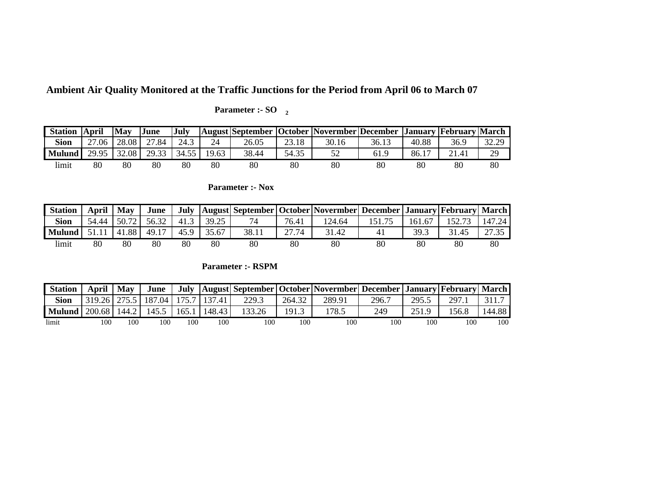**Ambient Air Quality Monitored at the Traffic Junctions for the Period from April 06 to March 07**

| <b>Station</b> | <b>April</b> | <b>May</b> | June  | <b>July</b> |       |       |       | <b>TAugust September   October   Novermber   December   January   February   March</b> |       |       |       |       |
|----------------|--------------|------------|-------|-------------|-------|-------|-------|----------------------------------------------------------------------------------------|-------|-------|-------|-------|
| <b>Sion</b>    | 27.06        | 28.08      | 27.84 | 24.3        | 24    | 26.05 | 23.18 | 30.16                                                                                  | 36.13 | 40.88 | 36.9  | 32.29 |
| <b>Mulund</b>  | 29.95        | 32.08      | 29.33 | 34.55       | 19.63 | 38.44 | 54.35 | 52                                                                                     | 61.9  | 86.17 | 21.41 | 29    |
| limit          | 80           | 80         | 80    | 80          | 80    | 80    | 80    | 80                                                                                     | 80    | 80    | 80    | 80    |

 **Parameter :- SO 2** 

## **Parameter :- Nox**

| <b>Station</b> | April | $\mathbf{M}$ av | June  |      |       |       |       | July   August  September  October  Novermber  December  January  February  March |    |        |        |        |
|----------------|-------|-----------------|-------|------|-------|-------|-------|----------------------------------------------------------------------------------|----|--------|--------|--------|
| <b>Sion</b>    | 54.44 | 50.72           | 56.32 | 41.3 | 39.25 | 74    | 76.41 | 124.64                                                                           |    | 161.67 | 152.73 | 147.24 |
| <b>Mulund</b>  |       | 41.88           | 49.17 | 45.9 | 35.67 | 38.11 | 27.74 | 31.42                                                                            | 41 | 39.3   | 31.45  | 27.35  |
| limit          | 80    | 80              | 80    | 80   | 80    | 80    | 80    | 80                                                                               | 80 | 80     | 80     | 80     |

 **Parameter :- RSPM**

| <b>Station</b> | April   May |       | June                                     |     |        |        |        | July   August  September   October   Novermber   December   January   February   March |       |       |       |        |
|----------------|-------------|-------|------------------------------------------|-----|--------|--------|--------|----------------------------------------------------------------------------------------|-------|-------|-------|--------|
| <b>Sion</b>    |             |       | 319.26   275.5   187.04   175.7   137.41 |     |        | 229.3  | 264.32 | 289.91                                                                                 | 296.7 | 295.5 | 297.1 |        |
| <b>Mulund</b>  | 200.68      | 144.2 | $145.5$ 165.1                            |     | 148.43 | 133.26 | 191.3  | 178.5                                                                                  | 249   | 251.9 | 156.8 | 144.88 |
| limit          | 100         | 100   | 100                                      | 100 | 100    |        | 100    | 100                                                                                    |       | 100   | 100   | 100    |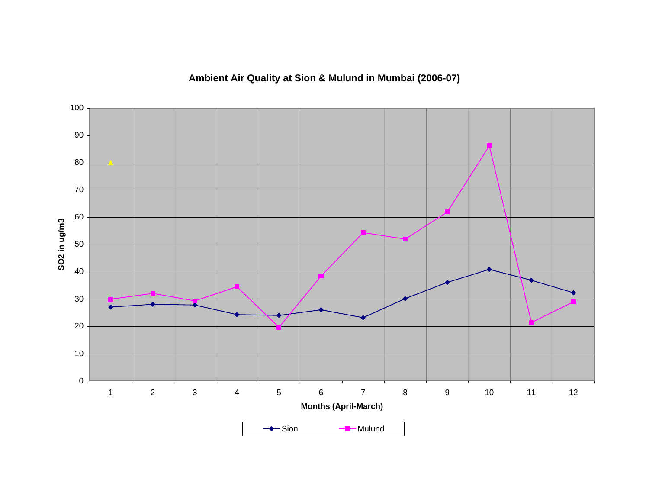## **Ambient Air Quality at Sion & Mulund in Mumbai (2006-07)**

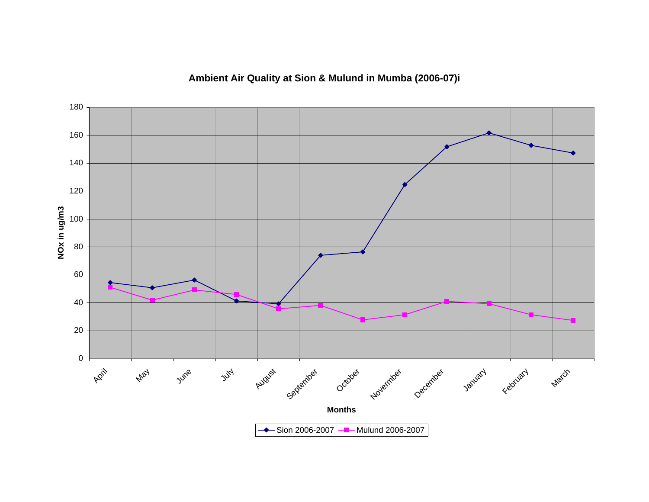## **Ambient Air Quality at Sion & Mulund in Mumba (2006-07)i**